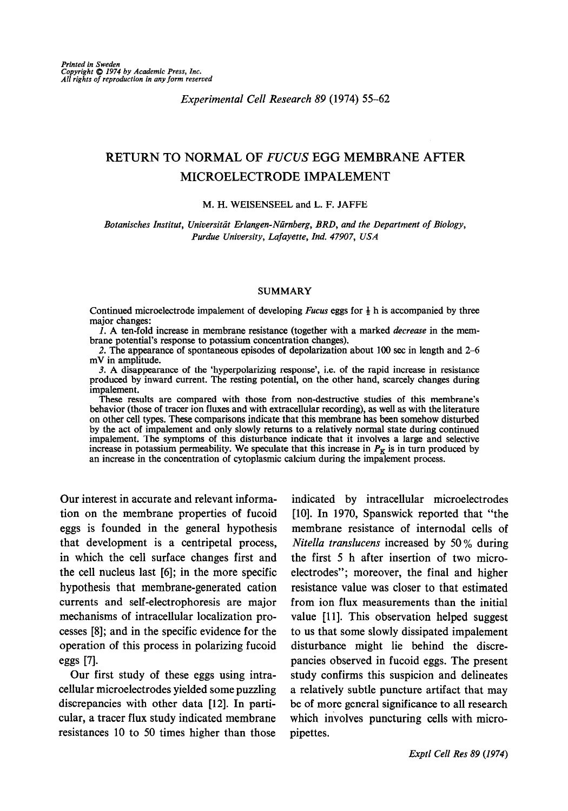## Experimental Cell Research 89 (1974) 55-62

# RETURN TO NORMAL OF FUCUS EGG MEMBRANE AFTER MICROELECTRODE IMPALEMENT

#### M. H. WEISENSEEL and L. F. JAFFE

Botanisches Institut, Universität Erlangen-Nürnberg, BRD, and the Department of Biology, Purdue University, Lafayette, Ind. 47907, USA

#### SUMMARY

Continued microelectrode impalement of developing *Fucus* eggs for  $\frac{1}{2}$  h is accompanied by three major changes:

1. A ten-fold increase in membrane resistance (together with a marked *decrease* in the membrane potential's response to potassium concentration changes).

2. The appearance of spontaneous episodes of depolarization about 100 sec in length and 2-6 mV in amplitude.

3. A disappearance of the 'hyperpolarizing response', i.e. of the rapid increase in resistance produced by inward current. The resting potential, on the other hand, scarcely changes during impalement.

These results are compared with those from non-destructive studies of this membrane's behavior (those of tracer ion fluxes and with extracellular recording), as well as with the literature on other cell types. These comparisons indicate that this membrane has been somehow disturbed by the act of impalement and only slowly returns to a relatively normal state during continued impalement. The symptoms of this disturbance indicate that it involves a large and selective increase in potassium permeability. We speculate that this increase in  $P<sub>K</sub>$  is in turn produced by an increase in the concentration of cytoplasmic calcium during the impalement process.

Our interest in accurate and relevant information on the membrane properties of fucoid eggs is founded in the general hypothesis that development is a centripetal process, in which the cell surface changes first and the cell nucleus last [6]; in the more specific hypothesis that membrane-generated cation currents and self-electrophoresis are major mechanisms of intracellular localization processes [8]; and in the specific evidence for the operation of this process in polarizing fucoid eggs [7].

Our first study of these eggs using intracellular microelectrodes yielded some puzzling discrepancies with other data [12]. In particular, a tracer flux study indicated membrane resistances 10 to 50 times higher than those

indicated by intracellular microelectrodes [lo]. In 1970, Spanswick reported that "the membrane resistance of internodal cells of Nitella translucens increased by 50 % during the first 5 h after insertion of two microelectrodes"; moreover, the final and higher resistance value was closer to that estimated from ion flux measurements than the initial value [ll]. This observation helped suggest to us that some slowly dissipated impalement disturbance might lie behind the discrepancies observed in fucoid eggs. The present study confirms this suspicion and delineates a relatively subtle puncture artifact that may be of more general significance to all research which involves puncturing cells with micropipettes.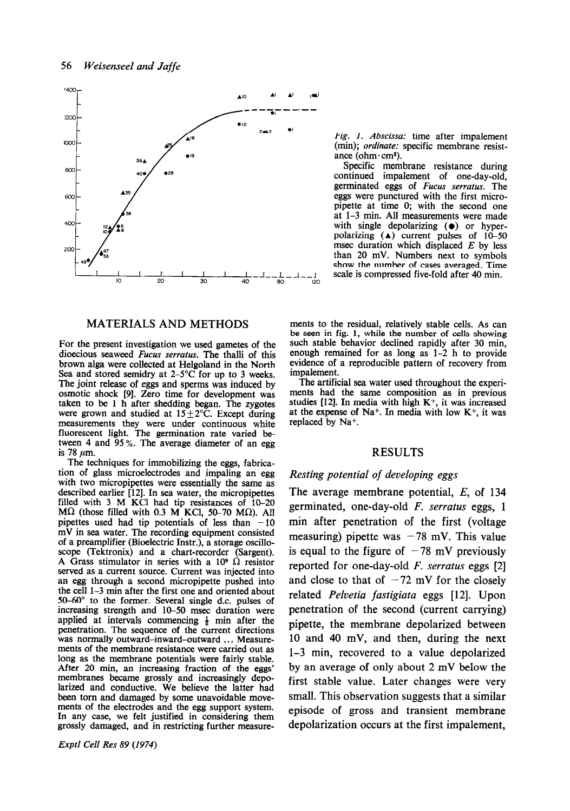

### MATERIALS AND METHODS

For the present investigation we used gametes of the dioecious seaweed Fucus serratus. The thalli of this brown alga were collected at Helgoland in the North Sea and stored semidry at  $2-5^{\circ}$ C for up to 3 weeks. The joint release of eggs and sperms was induced by osmotic shock [9]. Zero time for development was taken to be 1 h after shedding began. The zygotes were grown and studied at  $15 \pm 2^{\circ}$ C. Except during measurements they were under continuous white fluorescent light. The germination rate varied between 4 and 95 %. The average diameter of an egg is 78  $\mu$ m.

The techniques for immobilizing the eggs, fabrication of glass microelectrodes and impaling an egg with two micropipettes were essentially the same as described earlier (121. In sea water, the-micropipettes filled with  $3 \text{ M}$  KCl had tip resistances of  $10-20$ M $\Omega$  (those filled with 0.3 M KCl, 50-70 M $\Omega$ ). All pipettes used had tip potentials of less than  $-10$ mV in sea water. The recording equipment consisted of a preamplifier (Bioelectric Instr.), a storage oscilloscope (Tektronix) and a chart-recorder (Sargent). A Grass stimulator in series with a 10<sup>®</sup>  $\hat{\Omega}$  resistor served as a current source. Current was injected into an egg through a second micropipette pushed into the cell 1-3 min after the first one and oriented about 50-60" to the former. Several single d.c. pulses of increasing strength and 10-50 msec duration were applied at intervals commencing  $\frac{1}{2}$  min after the penetration. The sequence of the current directions was normally outward-inward-outward ... Measurements of the membrane resistance were carried out as long as the membrane potentials were fairly stable. After 20 min, an increasing fraction of the eggs' membranes became grossly and increasingly depolarized and conductive. We believe the latter had been torn and damaged by some unavoidable movements of the electrodes and the egg support system. In any case, we felt justified in considering them grossly damaged, and in restricting further measure-

Exptl Cell Res 89 (1974)

Fig. I. Abscissa: time after impalement (min); ordinate: specific membrane resistance (ohm $\cdot$ cm<sup>2</sup>).

continued impalement of one-day-old, germinated eggs of Fucus serratus. The eggs were punctured with the first micropipette at time 0; with the second one at l-3 min. All measurements were made with single depolarizing  $(•)$  or hyperpolarizing  $(A)$  current pulses of 10-50 msec duration which displaced  $E$  by less than 20 mV. Numbers next to symbols show the number of cases averaged. Time

ments to the residual, relatively stable cells. As can be seen in fig. 1, while the number of cells showing such stable behavior declined rapidly after 30 min, enough remained for as long as 1-2 h to provide evidence of a reproducible pattern of recovery from impalement.

The artificial sea water used throughout the experiments had the same composition-as in previous studies [12]. In media with high  $K^+$ , it was increased at the expense of Na<sup>+</sup>. In media with low  $K^+$ , it was replaced by Na<sup>+</sup>.

#### RESULTS

#### Resting potential of developing eggs

The average membrane potential, E, of 134 germinated, one-day-old F. serratus eggs, 1 min after penetration of the first (voltage measuring) pipette was  $-78$  mV. This value is equal to the figure of  $-78$  mV previously reported for one-day-old F. serratus eggs [2] and close to that of  $-72$  mV for the closely related Pelvetia fastigiata eggs [12]. Upon penetration of the second (current carrying) pipette, the membrane depolarized between 10 and 40 mV, and then, during the next 1-3 min, recovered to a value depolarized by an average of only about 2 mV below the first stable value. Later changes were very small. This observation suggests that a similar episode of gross and transient membrane depolarization occurs at the first impalement,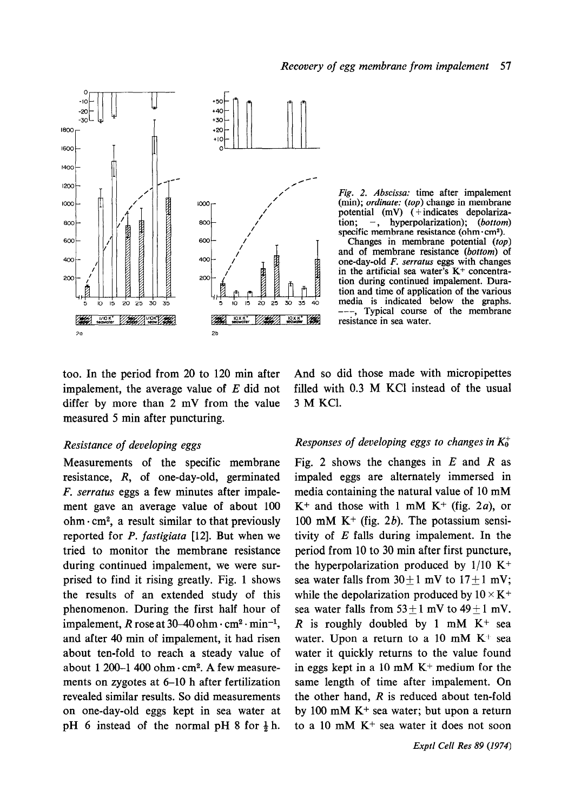



Fig. 2. Abscissa: time after impalement (min); *ordinate:* (top) change in membrane potential  $(mV)$  ( + indicates depolarization;  $-$ , hyperpolarization); (bottom) specific membrane resistance (ohm $\cdot$ cm<sup>2</sup>).

Changes in membrane potential (top) and of membrane resistance (bottom) of one-day-old F. serratus eggs with changes in the artificial sea water's  $K<sup>+</sup>$  concentration during continued impalement. Duration and time of application of the various media is indicated below the graphs. -, Typical course of the membrane resistance in sea water.

too. In the period from 20 to 120 min after impalement, the average value of  $E$  did not differ by more than 2 mV from the value measured 5 min after puncturing.

### Resistance of developing eggs

Measurements of the specific membrane resistance, R, of one-day-old, germinated F. serratus eggs a few minutes after impalement gave an average value of about 100 ohm $-cm^2$ , a result similar to that previously reported for P. fastigiata [12]. But when we tried to monitor the membrane resistance during continued impalement, we were surprised to find it rising greatly. Fig. 1 shows the results of an extended study of this phenomenon. During the first half hour of impalement, R rose at  $30-40$  ohm $\cdot$  cm<sup>2</sup>  $\cdot$  min<sup>-1</sup>, and after 40 min of impalement, it had risen about ten-fold to reach a steady value of about 1 200-1 400 ohm $\cdot$ cm<sup>2</sup>. A few measurements on zygotes at 6-10 h after fertilization revealed similar results. So did measurements on one-day-old eggs kept in sea water at pH 6 instead of the normal pH 8 for  $\frac{1}{2}$  h. And so did those made with micropipettes filled with 0.3 M KCl instead of the usual 3 M KCl.

## Responses of developing eggs to changes in  $K_0^+$

Fig. 2 shows the changes in  $E$  and  $R$  as impaled eggs are alternately immersed in media containing the natural value of 10 mM  $K^+$  and those with 1 mM  $K^+$  (fig. 2*a*), or 100 mM K<sup>+</sup> (fig. 2b). The potassium sensitivity of E falls during impalement. In the period from 10 to 30 min after first puncture, the hyperpolarization produced by  $1/10 K^+$ sea water falls from  $30 \pm 1$  mV to  $17 \pm 1$  mV; while the depolarization produced by  $10 \times K^+$ sea water falls from  $53 \pm 1$  mV to  $49 \pm 1$  mV. R is roughly doubled by 1 mM  $K^+$  sea water. Upon a return to a 10 mM  $K^+$  sea water it quickly returns to the value found in eggs kept in a 10 mM  $K<sup>+</sup>$  medium for the same length of time after impalement. On the other hand,  $R$  is reduced about ten-fold by 100 mM  $K<sup>+</sup>$  sea water; but upon a return to a 10 mM  $K<sup>+</sup>$  sea water it does not soon

Exptl Cell Res 89 (1974)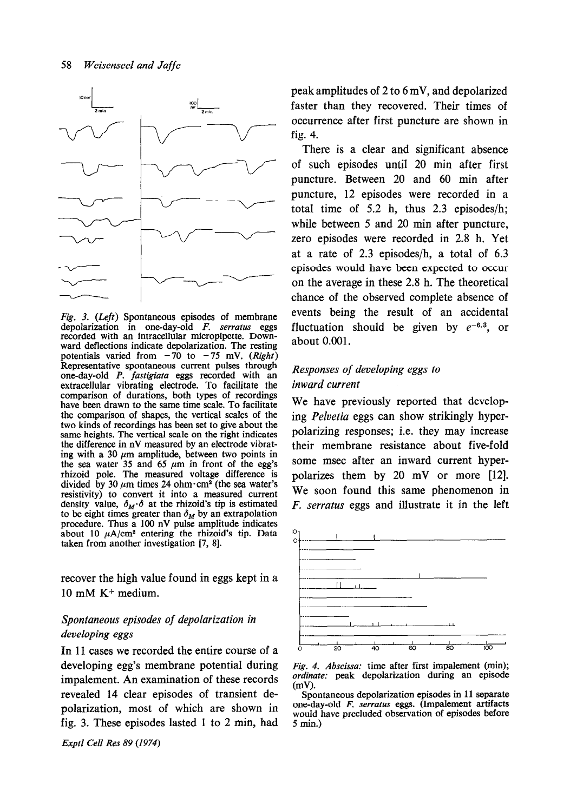

Fig. 3. (Left) Spontaneous episodes of membrane depolarization in one-day-old F. serratus eggs recorded with an intracellular micropipette. Downward deflections indicate depolarization. The resting potentials varied from  $-70$  to  $-75$  mV. (Right) Representative spontaneous current pulses through one-day-old P. fastigiata eggs recorded with an extracellular vibrating electrode. To facilitate the comparison of durations, both types of recordings have been drawn to the same time scale. To facilitate the comparison of shapes, the vertical scales of the two kinds of recordings has been set to give about the same heights. The vertical scale on the right indicates the difference in nV measured by an electrode vibrating with a 30  $\mu$ m amplitude, between two points in the sea water 35 and 65  $\mu$ m in front of the egg's rhizoid pole. The measured voltage difference is divided by 30  $\mu$ m times 24 ohm $\cdot$  cm<sup>2</sup> (the sea water's resistivity) to convert it into a measured current density value,  $\delta_M \cdot \delta$  at the rhizoid's tip is estimated to be eight times greater than  $\delta_M$  by an extrapolation procedure. Thus a 100 nV pulse amplitude indicates about 10  $\mu$ A/cm<sup>2</sup> entering the rhizoid's tip. Data taken from another investigation [7, 81.

recover the high value found in eggs kept in a 10 mM K+ medium.

# Spontaneous episodes of depolarization in developing eggs

In 11 cases we recorded the entire course of a developing egg's membrane potential during impalement. An examination of these records revealed 14 clear episodes of transient depolarization, most of which are shown in fig. 3. These episodes lasted 1 to 2 min, had

Exptl Cell Res 89 (1974)

peak amplitudes of 2 to 6 mV, and depolarized  $\frac{1}{2}$  faster than they recovered. Their times of occurrence after first puncture are shown in fig. 4.

> There is a clear and significant absence of such episodes until 20 min after first puncture. Between 20 and 60 min after puncture, 12 episodes were recorded in a total time of 5.2 h, thus  $2.3$  episodes/h; while between 5 and 20 min after puncture, zero episodes were recorded in 2.8 h. Yet at a rate of 2.3 episodes/h, a total of 6.3 episodes would have been expected to occur on the average in these 2.8 h. The theoretical chance of the observed complete absence of events being the result of an accidental fluctuation should be given by  $e^{-6.3}$ , or about 0.001.

# Responses of developing eggs to inward current

We have previously reported that developing Pelvetia eggs can show strikingly hyperpolarizing responses; i.e. they may increase their membrane resistance about five-fold some msec after an inward current hyperpolarizes them by 20 mV or more [12]. We soon found this same phenomenon in F. serratus eggs and illustrate it in the left





Spontaneous depolarization episodes in 11 separate one-day-old F. serratus eggs. (Impalement artifacts would have precluded observation of episodes before 5 min.)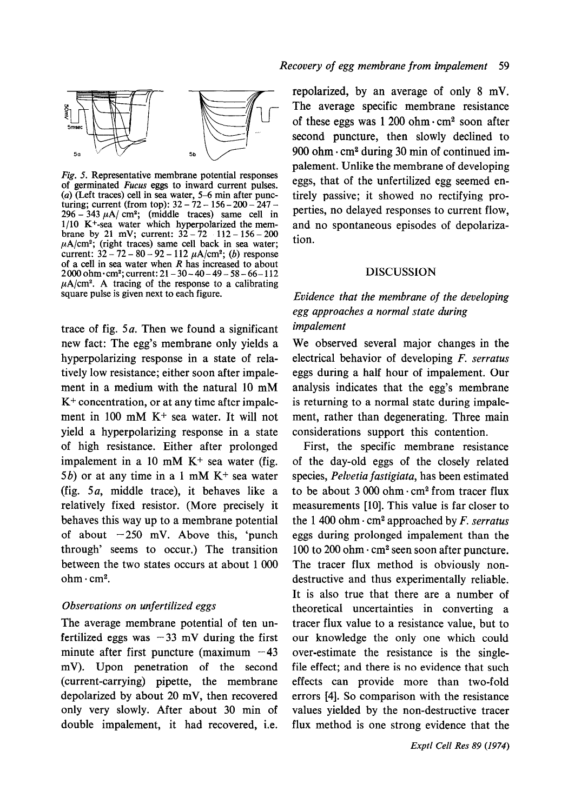

Fig. 5. Representative membrane potential responses of germinated Fucus eggs to inward current pulses. (a) (Left traces) cell in sea water,  $5-6$  min after puncturing; current (from top): 32 – 72 – 156 – 200 – 247 –  $296 - 343 \mu\text{A/m}^2$ ; (middle traces) same cell in l/10 K+-sea water which hyperpolarized the membrane by 21 mV; current:  $32 - 72 - 112 - 156 - 200$  $\mu$ A/cm<sup>2</sup>; (right traces) same cell back in sea water; current:  $32 - 72 - 80 - 92 - 112 \mu A/cm^2$ ; (b) response of a cell in sea water when  $R$  has increased to about  $2000$  ohm $-cm^2$ ; current:  $21-30-40-49-58-66-112$  $\mu$ A/cm<sup>2</sup>. A tracing of the response to a calibrating square pulse is given next to each figure.

trace of fig.  $5a$ . Then we found a significant new fact: The egg's membrane only yields a hyperpolarizing response in a state of relatively low resistance; either soon after impalement in a medium with the natural 10 mM  $K<sup>+</sup> concentration, or at any time after impale$ ment in 100 mM K+ sea water. It will not yield a hyperpolarizing response in a state of high resistance. Either after prolonged impalement in a 10 mM  $K<sup>+</sup>$  sea water (fig. 5b) or at any time in a 1 mM  $K<sup>+</sup>$  sea water (fig. 5a, middle trace), it behaves like a relatively fixed resistor. (More precisely it behaves this way up to a membrane potential of about  $-250$  mV. Above this, 'punch through' seems to occur.) The transition between the two states occurs at about 1 000  $ohm·cm<sup>2</sup>$ .

# Observations on unfertilized eggs

The average membrane potential of ten unfertilized eggs was  $-33$  mV during the first minute after first puncture (maximum  $-43$ mV). Upon penetration of the second (current-carrying) pipette, the membrane depolarized by about 20 mV, then recovered only very slowly. After about 30 min of double impalement, it had recovered, i.e.

repolarized, by an average of only 8 mV. The average specific membrane resistance of these eggs was  $1,200$  ohm $\cdot$  cm<sup>2</sup> soon after second puncture, then slowly declined to 900 ohm $\cdot$  cm<sup>2</sup> during 30 min of continued impalement. Unlike the membrane of developing eggs, that of the unfertilized egg seemed entirely passive; it showed no rectifying properties, no delayed responses to current flow, and no spontaneous episodes of depolarization.

### DISCUSSION

# Evidence that the membrane of the developing egg approaches a normal state during impalement

We observed several major changes in the electrical behavior of developing F. serratus eggs during a half hour of impalement. Our analysis indicates that the egg's membrane is returning to a normal state during impalement, rather than degenerating. Three main considerations support this contention.

First, the specific membrane resistance of the day-old eggs of the closely related species, Pelvetia fastigiata, has been estimated to be about  $3000$  ohm $\cdot$  cm<sup>2</sup> from tracer flux measurements [10]. This value is far closer to the 1 400 ohm  $\cdot$  cm<sup>2</sup> approached by *F. serratus* eggs during prolonged impalement than the 100 to 200 ohm  $\cdot$  cm<sup>2</sup> seen soon after puncture. The tracer flux method is obviously nondestructive and thus experimentally reliable. It is also true that there are a number of theoretical uncertainties in converting a tracer flux value to a resistance value, but to our knowledge the only one which could over-estimate the resistance is the singlefile effect; and there is no evidence that such effects can provide more than two-fold errors [4]. So comparison with the resistance values yielded by the non-destructive tracer flux method is one strong evidence that the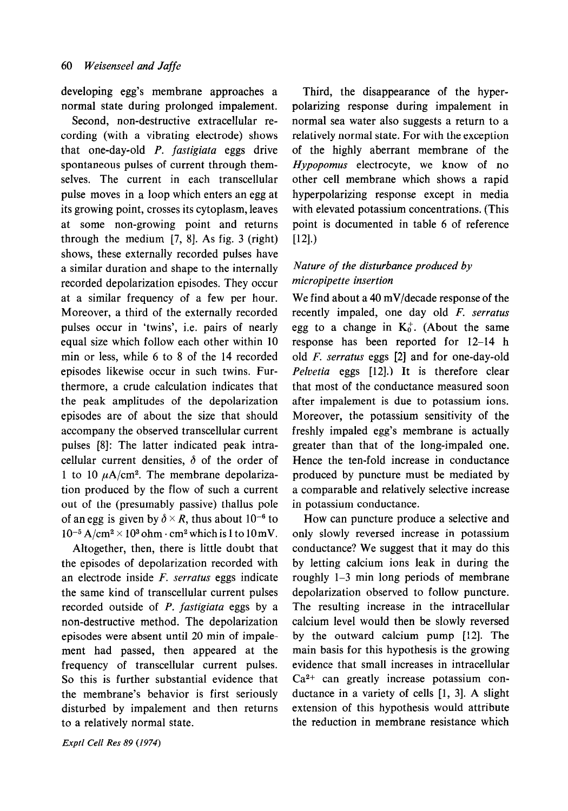developing egg's membrane approaches a normal state during prolonged impalement.

Second, non-destructive extracellular recording (with a vibrating electrode) shows that one-day-old  $P$ . fastigiata eggs drive spontaneous pulses of current through themselves. The current in each transcellular pulse moves in a loop which enters an egg at its growing point, crosses its cytoplasm, leaves at some non-growing point and returns through the medium  $[7, 8]$ . As fig. 3 (right) shows, these externally recorded pulses have a similar duration and shape to the internally recorded depolarization episodes. They occur at a similar frequency of a few per hour. Moreover, a third of the externally recorded pulses occur in 'twins', i.e. pairs of nearly equal size which follow each other within 10 min or less, while 6 to 8 of the 14 recorded episodes likewise occur in such twins. Furthermore, a crude calculation indicates that the peak amplitudes of the depolarization episodes are of about the size that should accompany the observed transcellular current pulses [8]: The latter indicated peak intracellular current densities,  $\delta$  of the order of 1 to 10  $\mu$ A/cm<sup>2</sup>. The membrane depolarization produced by the flow of such a current out of the (presumably passive) thallus pole of an egg is given by  $\delta \times R$ , thus about 10<sup>-6</sup> to  $10^{-5}$  A/cm<sup>2</sup> × 10<sup>3</sup> ohm · cm<sup>2</sup> which is 1 to 10 mV.

Altogether, then, there is little doubt that the episodes of depolarization recorded with an electrode inside F. serratus eggs indicate the same kind of transcellular current pulses recorded outside of *P. fastigiata* eggs by a non-destructive method. The depolarization episodes were absent until 20 min of impalement had passed, then appeared at the frequency of transcellular current pulses. So this is further substantial evidence that the membrane's behavior is first seriously disturbed by impalement and then returns to a relatively normal state.

Exptl Cell Res 89 (1974)

Third, the disappearance of the hyperpolarizing response during impalement in normal sea water also suggests a return to a relatively normal state. For with the exception of the highly aberrant membrane of the Hypopomus electrocyte, we know of no other cell membrane which shows a rapid hyperpolarizing response except in media with elevated potassium concentrations. (This point is documented in table 6 of reference  $[12]$ .)

# Nature of the disturbance produced by micropipette insertion

We find about a 40 mV/decade response of the recently impaled, one day old F. serratus egg to a change in  $K_0^+$ . (About the same response has been reported for 12-14 h old F. serratus eggs [2] and for one-day-old Pelvetia eggs [12].) It is therefore clear that most of the conductance measured soon after impalement is due to potassium ions. Moreover, the potassium sensitivity of the freshly impaled egg's membrane is actually greater than that of the long-impaled one. Hence the ten-fold increase in conductance produced by puncture must be mediated by a comparable and relatively selective increase in potassium conductance.

How can puncture produce a selective and only slowly reversed increase in potassium conductance? We suggest that it may do this by letting calcium ions leak in during the roughly l-3 min long periods of membrane depolarization observed to follow puncture. The resulting increase in the intracellular calcium level would then be slowly reversed by the outward calcium pump [!2]. The main basis for this hypothesis is the growing evidence that small increases in intracellular Ca2+ can greatly increase potassium conductance in a variety of cells [l, 31. A slight extension of this hypothesis would attribute the reduction in membrane resistance which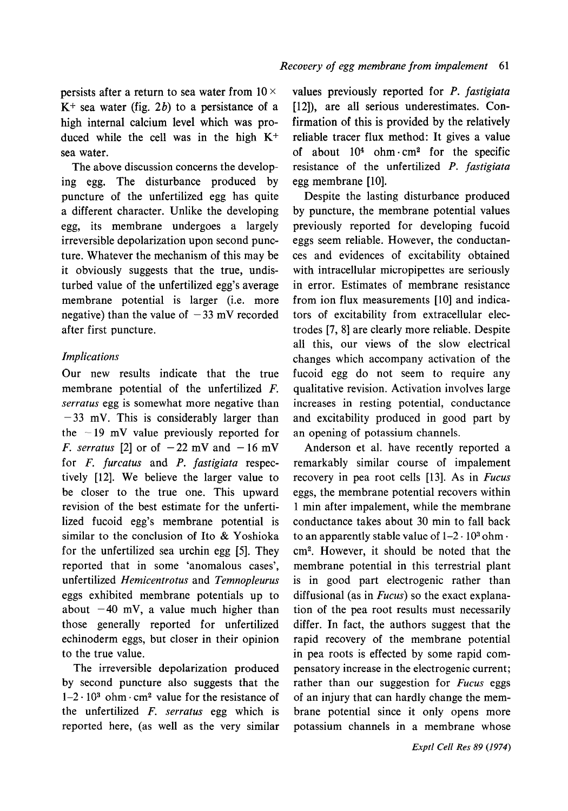persists after a return to sea water from  $10 \times$  $K^+$  sea water (fig. 2b) to a persistance of a high internal calcium level which was produced while the cell was in the high  $K^+$ sea water.

The above discussion concerns the developing egg. The disturbance produced by puncture of the unfertilized egg has quite a different character. Unlike the developing egg, its membrane undergoes a largely irreversible depolarization upon second puncture. Whatever the mechanism of this may be it obviously suggests that the true, undisturbed value of the unfertilized egg's average membrane potential is larger (i.e. more negative) than the value of  $-33$  mV recorded after first puncture.

# Implications

Our new results indicate that the true membrane potential of the unfertilized F. serratus egg is somewhat more negative than  $-33$  mV. This is considerably larger than the  $-19$  mV value previously reported for F. serratus [2] or of  $-22$  mV and  $-16$  mV for *F. furcatus* and *P. fastigiata* respectively [12]. We believe the larger value to be closer to the true one. This upward revision of the best estimate for the unfertilized fucoid egg's membrane potential is similar to the conclusion of Ito & Yoshioka for the unfertilized sea urchin egg [5]. They reported that in some 'anomalous cases', unfertilized Hemicentrotus and Temnopleurus eggs exhibited membrane potentials up to about  $-40$  mV, a value much higher than those generally reported for unfertilized echinoderm eggs, but closer in their opinion to the true value.

The irreversible depolarization produced by second puncture also suggests that the  $1-2 \cdot 10^3$  ohm  $\cdot$  cm<sup>2</sup> value for the resistance of the unfertilized F. serratus egg which is reported here, (as well as the very similar values previously reported for P. fastigiata [12]), are all serious underestimates. Confirmation of this is provided by the relatively reliable tracer flux method: It gives a value of about  $10^4$  ohm $\cdot$  cm<sup>2</sup> for the specific resistance of the unfertilized P. fastigiata egg membrane [10].

Despite the lasting disturbance produced by puncture, the membrane potential values previously reported for developing fucoid eggs seem reliable. However, the conductances and evidences of excitability obtained with intracellular micropipettes are seriously in error. Estimates of membrane resistance from ion flux measurements [10] and indicators of excitability from extracellular electrodes [7, 81 are clearly more reliable. Despite all this, our views of the slow electrical changes which accompany activation of the fucoid egg do not seem to require any qualitative revision. Activation involves large increases in resting potential, conductance and excitability produced in good part by an opening of potassium channels.

Anderson et al. have recently reported a remarkably similar course of impalement recovery in pea root cells [13]. As in Fucus eggs, the membrane potential recovers within 1 min after impalement, while the membrane conductance takes about 30 min to fall back to an apparently stable value of  $1-2 \cdot 10^3$  ohm. cm2. However, it should be noted that the membrane potential in this terrestrial plant is in good part electrogenic rather than diffusional (as in  $Fucus$ ) so the exact explanation of the pea root results must necessarily differ. In fact, the authors suggest that the rapid recovery of the membrane potential in pea roots is effected by some rapid compensatory increase in the electrogenic current; rather than our suggestion for Fucus eggs of an injury that can hardly change the membrane potential since it only opens more potassium channels in a membrane whose